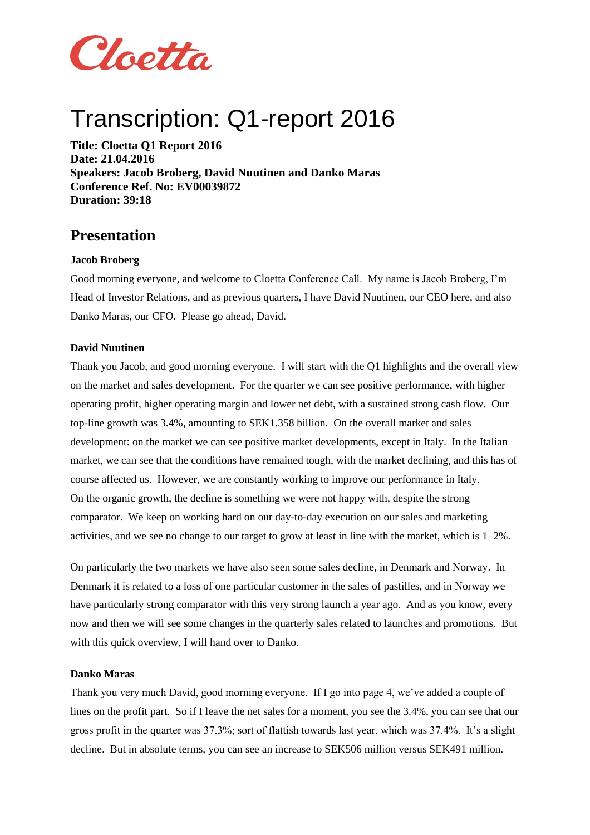

# Transcription: Q1-report 2016

**Title: Cloetta Q1 Report 2016 Date: 21.04.2016 Speakers: Jacob Broberg, David Nuutinen and Danko Maras Conference Ref. No: EV00039872 Duration: 39:18**

## **Presentation**

#### **Jacob Broberg**

Good morning everyone, and welcome to Cloetta Conference Call. My name is Jacob Broberg, I'm Head of Investor Relations, and as previous quarters, I have David Nuutinen, our CEO here, and also Danko Maras, our CFO. Please go ahead, David.

#### **David Nuutinen**

Thank you Jacob, and good morning everyone. I will start with the Q1 highlights and the overall view on the market and sales development. For the quarter we can see positive performance, with higher operating profit, higher operating margin and lower net debt, with a sustained strong cash flow. Our top-line growth was 3.4%, amounting to SEK1.358 billion. On the overall market and sales development: on the market we can see positive market developments, except in Italy. In the Italian market, we can see that the conditions have remained tough, with the market declining, and this has of course affected us. However, we are constantly working to improve our performance in Italy. On the organic growth, the decline is something we were not happy with, despite the strong comparator. We keep on working hard on our day-to-day execution on our sales and marketing activities, and we see no change to our target to grow at least in line with the market, which is 1–2%.

On particularly the two markets we have also seen some sales decline, in Denmark and Norway. In Denmark it is related to a loss of one particular customer in the sales of pastilles, and in Norway we have particularly strong comparator with this very strong launch a year ago. And as you know, every now and then we will see some changes in the quarterly sales related to launches and promotions. But with this quick overview, I will hand over to Danko.

#### **Danko Maras**

Thank you very much David, good morning everyone. If I go into page 4, we've added a couple of lines on the profit part. So if I leave the net sales for a moment, you see the 3.4%, you can see that our gross profit in the quarter was 37.3%; sort of flattish towards last year, which was 37.4%. It's a slight decline. But in absolute terms, you can see an increase to SEK506 million versus SEK491 million.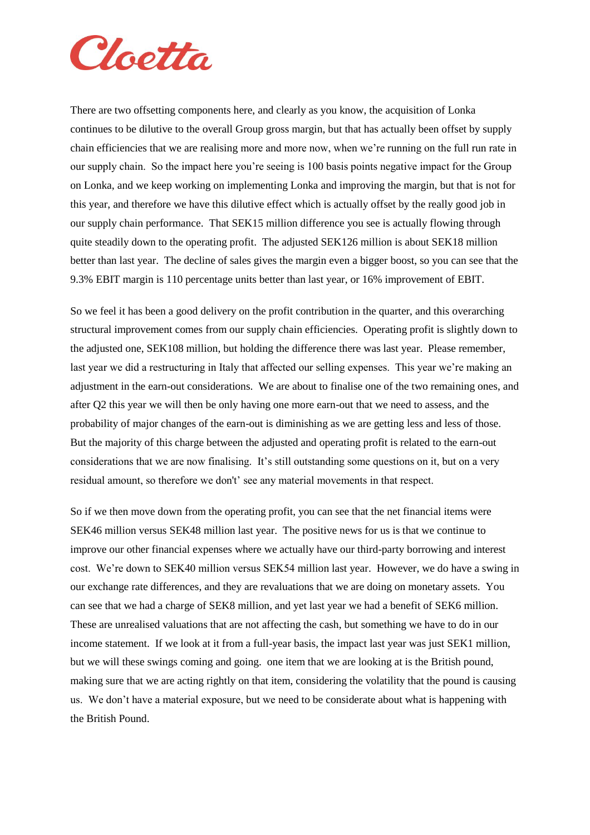

There are two offsetting components here, and clearly as you know, the acquisition of Lonka continues to be dilutive to the overall Group gross margin, but that has actually been offset by supply chain efficiencies that we are realising more and more now, when we're running on the full run rate in our supply chain. So the impact here you're seeing is 100 basis points negative impact for the Group on Lonka, and we keep working on implementing Lonka and improving the margin, but that is not for this year, and therefore we have this dilutive effect which is actually offset by the really good job in our supply chain performance. That SEK15 million difference you see is actually flowing through quite steadily down to the operating profit. The adjusted SEK126 million is about SEK18 million better than last year. The decline of sales gives the margin even a bigger boost, so you can see that the 9.3% EBIT margin is 110 percentage units better than last year, or 16% improvement of EBIT.

So we feel it has been a good delivery on the profit contribution in the quarter, and this overarching structural improvement comes from our supply chain efficiencies. Operating profit is slightly down to the adjusted one, SEK108 million, but holding the difference there was last year. Please remember, last year we did a restructuring in Italy that affected our selling expenses. This year we're making an adjustment in the earn-out considerations. We are about to finalise one of the two remaining ones, and after Q2 this year we will then be only having one more earn-out that we need to assess, and the probability of major changes of the earn-out is diminishing as we are getting less and less of those. But the majority of this charge between the adjusted and operating profit is related to the earn-out considerations that we are now finalising. It's still outstanding some questions on it, but on a very residual amount, so therefore we don't' see any material movements in that respect.

So if we then move down from the operating profit, you can see that the net financial items were SEK46 million versus SEK48 million last year. The positive news for us is that we continue to improve our other financial expenses where we actually have our third-party borrowing and interest cost. We're down to SEK40 million versus SEK54 million last year. However, we do have a swing in our exchange rate differences, and they are revaluations that we are doing on monetary assets. You can see that we had a charge of SEK8 million, and yet last year we had a benefit of SEK6 million. These are unrealised valuations that are not affecting the cash, but something we have to do in our income statement. If we look at it from a full-year basis, the impact last year was just SEK1 million, but we will these swings coming and going. one item that we are looking at is the British pound, making sure that we are acting rightly on that item, considering the volatility that the pound is causing us. We don't have a material exposure, but we need to be considerate about what is happening with the British Pound.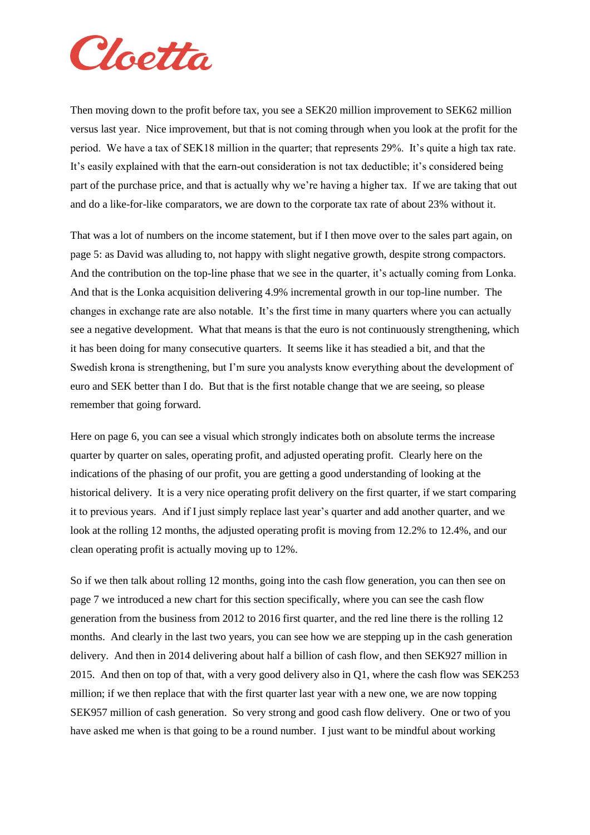

Then moving down to the profit before tax, you see a SEK20 million improvement to SEK62 million versus last year. Nice improvement, but that is not coming through when you look at the profit for the period. We have a tax of SEK18 million in the quarter; that represents 29%. It's quite a high tax rate. It's easily explained with that the earn-out consideration is not tax deductible; it's considered being part of the purchase price, and that is actually why we're having a higher tax. If we are taking that out and do a like-for-like comparators, we are down to the corporate tax rate of about 23% without it.

That was a lot of numbers on the income statement, but if I then move over to the sales part again, on page 5: as David was alluding to, not happy with slight negative growth, despite strong compactors. And the contribution on the top-line phase that we see in the quarter, it's actually coming from Lonka. And that is the Lonka acquisition delivering 4.9% incremental growth in our top-line number. The changes in exchange rate are also notable. It's the first time in many quarters where you can actually see a negative development. What that means is that the euro is not continuously strengthening, which it has been doing for many consecutive quarters. It seems like it has steadied a bit, and that the Swedish krona is strengthening, but I'm sure you analysts know everything about the development of euro and SEK better than I do. But that is the first notable change that we are seeing, so please remember that going forward.

Here on page 6, you can see a visual which strongly indicates both on absolute terms the increase quarter by quarter on sales, operating profit, and adjusted operating profit. Clearly here on the indications of the phasing of our profit, you are getting a good understanding of looking at the historical delivery. It is a very nice operating profit delivery on the first quarter, if we start comparing it to previous years. And if I just simply replace last year's quarter and add another quarter, and we look at the rolling 12 months, the adjusted operating profit is moving from 12.2% to 12.4%, and our clean operating profit is actually moving up to 12%.

So if we then talk about rolling 12 months, going into the cash flow generation, you can then see on page 7 we introduced a new chart for this section specifically, where you can see the cash flow generation from the business from 2012 to 2016 first quarter, and the red line there is the rolling 12 months. And clearly in the last two years, you can see how we are stepping up in the cash generation delivery. And then in 2014 delivering about half a billion of cash flow, and then SEK927 million in 2015. And then on top of that, with a very good delivery also in Q1, where the cash flow was SEK253 million; if we then replace that with the first quarter last year with a new one, we are now topping SEK957 million of cash generation. So very strong and good cash flow delivery. One or two of you have asked me when is that going to be a round number. I just want to be mindful about working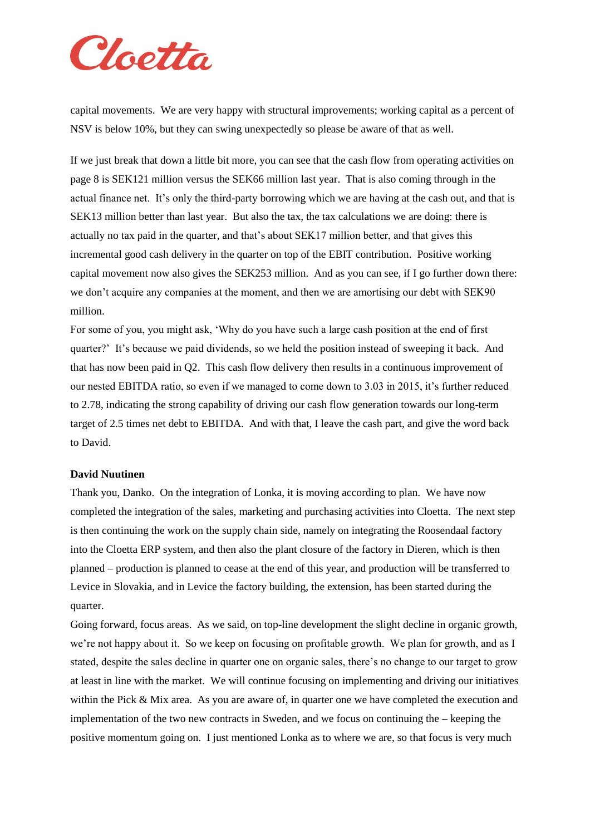

capital movements. We are very happy with structural improvements; working capital as a percent of NSV is below 10%, but they can swing unexpectedly so please be aware of that as well.

If we just break that down a little bit more, you can see that the cash flow from operating activities on page 8 is SEK121 million versus the SEK66 million last year. That is also coming through in the actual finance net. It's only the third-party borrowing which we are having at the cash out, and that is SEK13 million better than last year. But also the tax, the tax calculations we are doing: there is actually no tax paid in the quarter, and that's about SEK17 million better, and that gives this incremental good cash delivery in the quarter on top of the EBIT contribution. Positive working capital movement now also gives the SEK253 million. And as you can see, if I go further down there: we don't acquire any companies at the moment, and then we are amortising our debt with SEK90 million.

For some of you, you might ask, 'Why do you have such a large cash position at the end of first quarter?' It's because we paid dividends, so we held the position instead of sweeping it back. And that has now been paid in Q2. This cash flow delivery then results in a continuous improvement of our nested EBITDA ratio, so even if we managed to come down to 3.03 in 2015, it's further reduced to 2.78, indicating the strong capability of driving our cash flow generation towards our long-term target of 2.5 times net debt to EBITDA. And with that, I leave the cash part, and give the word back to David.

#### **David Nuutinen**

Thank you, Danko. On the integration of Lonka, it is moving according to plan. We have now completed the integration of the sales, marketing and purchasing activities into Cloetta. The next step is then continuing the work on the supply chain side, namely on integrating the Roosendaal factory into the Cloetta ERP system, and then also the plant closure of the factory in Dieren, which is then planned – production is planned to cease at the end of this year, and production will be transferred to Levice in Slovakia, and in Levice the factory building, the extension, has been started during the quarter.

Going forward, focus areas. As we said, on top-line development the slight decline in organic growth, we're not happy about it. So we keep on focusing on profitable growth. We plan for growth, and as I stated, despite the sales decline in quarter one on organic sales, there's no change to our target to grow at least in line with the market. We will continue focusing on implementing and driving our initiatives within the Pick & Mix area. As you are aware of, in quarter one we have completed the execution and implementation of the two new contracts in Sweden, and we focus on continuing the – keeping the positive momentum going on. I just mentioned Lonka as to where we are, so that focus is very much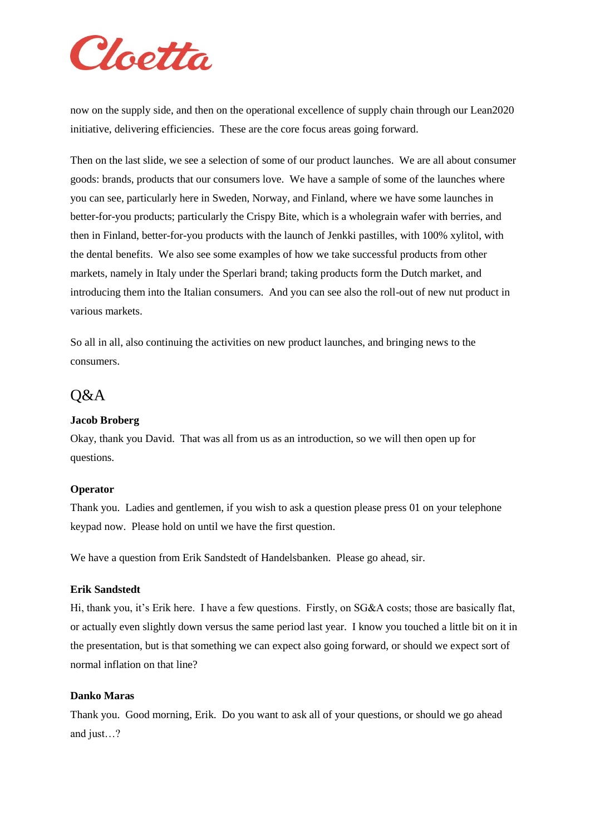

now on the supply side, and then on the operational excellence of supply chain through our Lean2020 initiative, delivering efficiencies. These are the core focus areas going forward.

Then on the last slide, we see a selection of some of our product launches. We are all about consumer goods: brands, products that our consumers love. We have a sample of some of the launches where you can see, particularly here in Sweden, Norway, and Finland, where we have some launches in better-for-you products; particularly the Crispy Bite, which is a wholegrain wafer with berries, and then in Finland, better-for-you products with the launch of Jenkki pastilles, with 100% xylitol, with the dental benefits. We also see some examples of how we take successful products from other markets, namely in Italy under the Sperlari brand; taking products form the Dutch market, and introducing them into the Italian consumers. And you can see also the roll-out of new nut product in various markets.

So all in all, also continuing the activities on new product launches, and bringing news to the consumers.

## Q&A

#### **Jacob Broberg**

Okay, thank you David. That was all from us as an introduction, so we will then open up for questions.

#### **Operator**

Thank you. Ladies and gentlemen, if you wish to ask a question please press 01 on your telephone keypad now. Please hold on until we have the first question.

We have a question from Erik Sandstedt of Handelsbanken. Please go ahead, sir.

#### **Erik Sandstedt**

Hi, thank you, it's Erik here. I have a few questions. Firstly, on SG&A costs; those are basically flat, or actually even slightly down versus the same period last year. I know you touched a little bit on it in the presentation, but is that something we can expect also going forward, or should we expect sort of normal inflation on that line?

#### **Danko Maras**

Thank you. Good morning, Erik. Do you want to ask all of your questions, or should we go ahead and just…?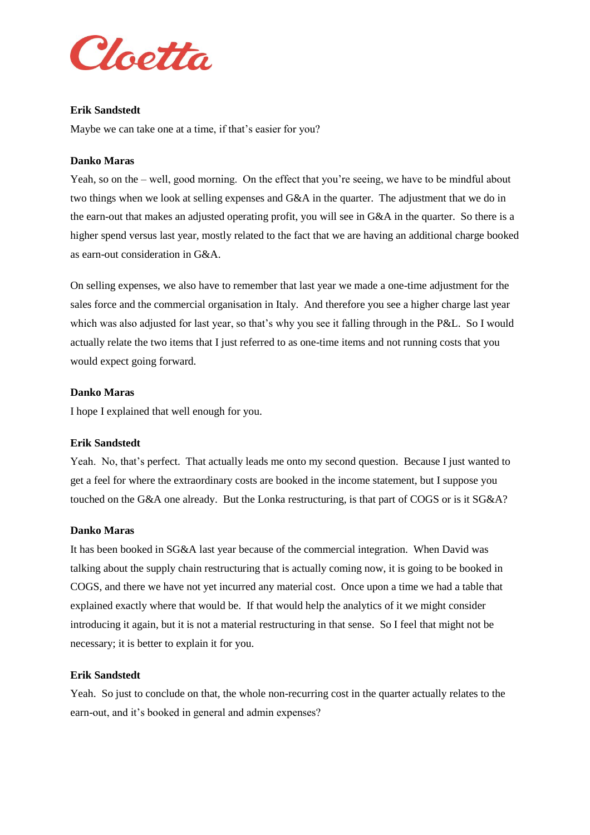

#### **Erik Sandstedt**

Maybe we can take one at a time, if that's easier for you?

#### **Danko Maras**

Yeah, so on the – well, good morning. On the effect that you're seeing, we have to be mindful about two things when we look at selling expenses and G&A in the quarter. The adjustment that we do in the earn-out that makes an adjusted operating profit, you will see in G&A in the quarter. So there is a higher spend versus last year, mostly related to the fact that we are having an additional charge booked as earn-out consideration in G&A.

On selling expenses, we also have to remember that last year we made a one-time adjustment for the sales force and the commercial organisation in Italy. And therefore you see a higher charge last year which was also adjusted for last year, so that's why you see it falling through in the P&L. So I would actually relate the two items that I just referred to as one-time items and not running costs that you would expect going forward.

#### **Danko Maras**

I hope I explained that well enough for you.

#### **Erik Sandstedt**

Yeah. No, that's perfect. That actually leads me onto my second question. Because I just wanted to get a feel for where the extraordinary costs are booked in the income statement, but I suppose you touched on the G&A one already. But the Lonka restructuring, is that part of COGS or is it SG&A?

#### **Danko Maras**

It has been booked in SG&A last year because of the commercial integration. When David was talking about the supply chain restructuring that is actually coming now, it is going to be booked in COGS, and there we have not yet incurred any material cost. Once upon a time we had a table that explained exactly where that would be. If that would help the analytics of it we might consider introducing it again, but it is not a material restructuring in that sense. So I feel that might not be necessary; it is better to explain it for you.

#### **Erik Sandstedt**

Yeah. So just to conclude on that, the whole non-recurring cost in the quarter actually relates to the earn-out, and it's booked in general and admin expenses?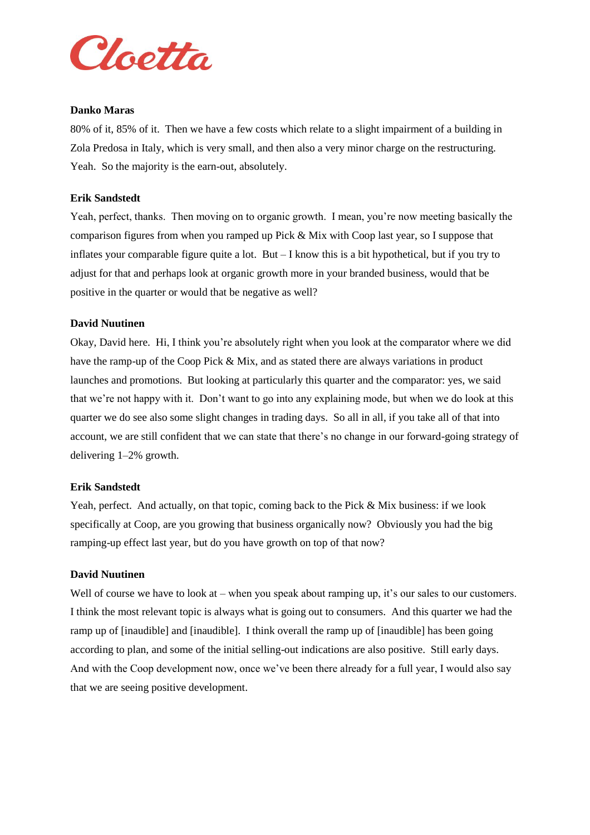

#### **Danko Maras**

80% of it, 85% of it. Then we have a few costs which relate to a slight impairment of a building in Zola Predosa in Italy, which is very small, and then also a very minor charge on the restructuring. Yeah. So the majority is the earn-out, absolutely.

#### **Erik Sandstedt**

Yeah, perfect, thanks. Then moving on to organic growth. I mean, you're now meeting basically the comparison figures from when you ramped up Pick & Mix with Coop last year, so I suppose that inflates your comparable figure quite a lot. But – I know this is a bit hypothetical, but if you try to adjust for that and perhaps look at organic growth more in your branded business, would that be positive in the quarter or would that be negative as well?

#### **David Nuutinen**

Okay, David here. Hi, I think you're absolutely right when you look at the comparator where we did have the ramp-up of the Coop Pick & Mix, and as stated there are always variations in product launches and promotions. But looking at particularly this quarter and the comparator: yes, we said that we're not happy with it. Don't want to go into any explaining mode, but when we do look at this quarter we do see also some slight changes in trading days. So all in all, if you take all of that into account, we are still confident that we can state that there's no change in our forward-going strategy of delivering 1–2% growth.

#### **Erik Sandstedt**

Yeah, perfect. And actually, on that topic, coming back to the Pick & Mix business: if we look specifically at Coop, are you growing that business organically now? Obviously you had the big ramping-up effect last year, but do you have growth on top of that now?

#### **David Nuutinen**

Well of course we have to look at – when you speak about ramping up, it's our sales to our customers. I think the most relevant topic is always what is going out to consumers. And this quarter we had the ramp up of [inaudible] and [inaudible]. I think overall the ramp up of [inaudible] has been going according to plan, and some of the initial selling-out indications are also positive. Still early days. And with the Coop development now, once we've been there already for a full year, I would also say that we are seeing positive development.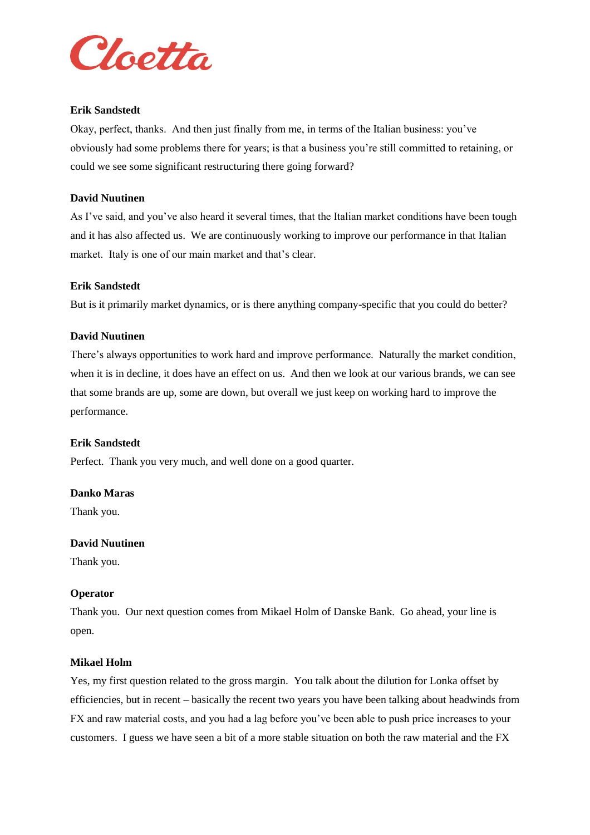

#### **Erik Sandstedt**

Okay, perfect, thanks. And then just finally from me, in terms of the Italian business: you've obviously had some problems there for years; is that a business you're still committed to retaining, or could we see some significant restructuring there going forward?

#### **David Nuutinen**

As I've said, and you've also heard it several times, that the Italian market conditions have been tough and it has also affected us. We are continuously working to improve our performance in that Italian market. Italy is one of our main market and that's clear.

#### **Erik Sandstedt**

But is it primarily market dynamics, or is there anything company-specific that you could do better?

#### **David Nuutinen**

There's always opportunities to work hard and improve performance. Naturally the market condition, when it is in decline, it does have an effect on us. And then we look at our various brands, we can see that some brands are up, some are down, but overall we just keep on working hard to improve the performance.

#### **Erik Sandstedt**

Perfect. Thank you very much, and well done on a good quarter.

#### **Danko Maras**

Thank you.

#### **David Nuutinen**

Thank you.

#### **Operator**

Thank you. Our next question comes from Mikael Holm of Danske Bank. Go ahead, your line is open.

#### **Mikael Holm**

Yes, my first question related to the gross margin. You talk about the dilution for Lonka offset by efficiencies, but in recent – basically the recent two years you have been talking about headwinds from FX and raw material costs, and you had a lag before you've been able to push price increases to your customers. I guess we have seen a bit of a more stable situation on both the raw material and the FX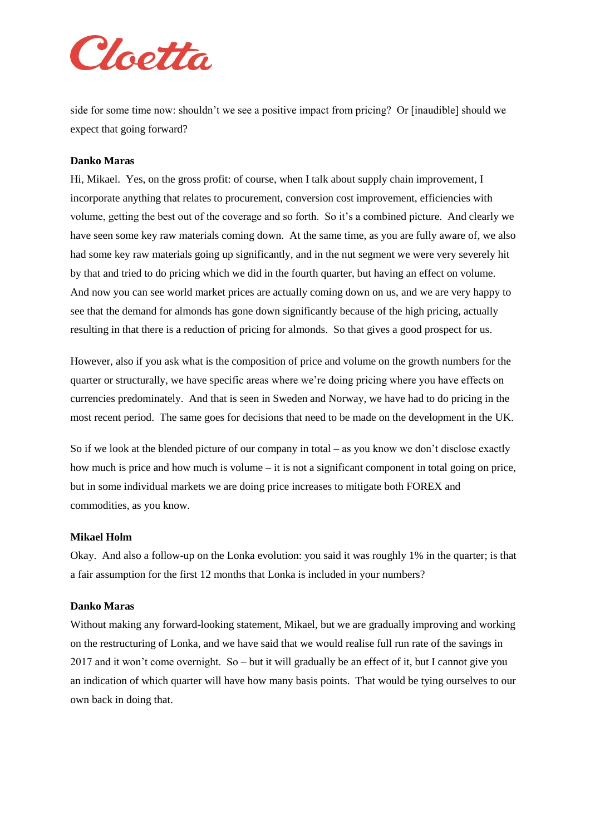

side for some time now: shouldn't we see a positive impact from pricing? Or [inaudible] should we expect that going forward?

#### **Danko Maras**

Hi, Mikael. Yes, on the gross profit: of course, when I talk about supply chain improvement, I incorporate anything that relates to procurement, conversion cost improvement, efficiencies with volume, getting the best out of the coverage and so forth. So it's a combined picture. And clearly we have seen some key raw materials coming down. At the same time, as you are fully aware of, we also had some key raw materials going up significantly, and in the nut segment we were very severely hit by that and tried to do pricing which we did in the fourth quarter, but having an effect on volume. And now you can see world market prices are actually coming down on us, and we are very happy to see that the demand for almonds has gone down significantly because of the high pricing, actually resulting in that there is a reduction of pricing for almonds. So that gives a good prospect for us.

However, also if you ask what is the composition of price and volume on the growth numbers for the quarter or structurally, we have specific areas where we're doing pricing where you have effects on currencies predominately. And that is seen in Sweden and Norway, we have had to do pricing in the most recent period. The same goes for decisions that need to be made on the development in the UK.

So if we look at the blended picture of our company in total – as you know we don't disclose exactly how much is price and how much is volume – it is not a significant component in total going on price, but in some individual markets we are doing price increases to mitigate both FOREX and commodities, as you know.

#### **Mikael Holm**

Okay. And also a follow-up on the Lonka evolution: you said it was roughly 1% in the quarter; is that a fair assumption for the first 12 months that Lonka is included in your numbers?

#### **Danko Maras**

Without making any forward-looking statement, Mikael, but we are gradually improving and working on the restructuring of Lonka, and we have said that we would realise full run rate of the savings in 2017 and it won't come overnight. So – but it will gradually be an effect of it, but I cannot give you an indication of which quarter will have how many basis points. That would be tying ourselves to our own back in doing that.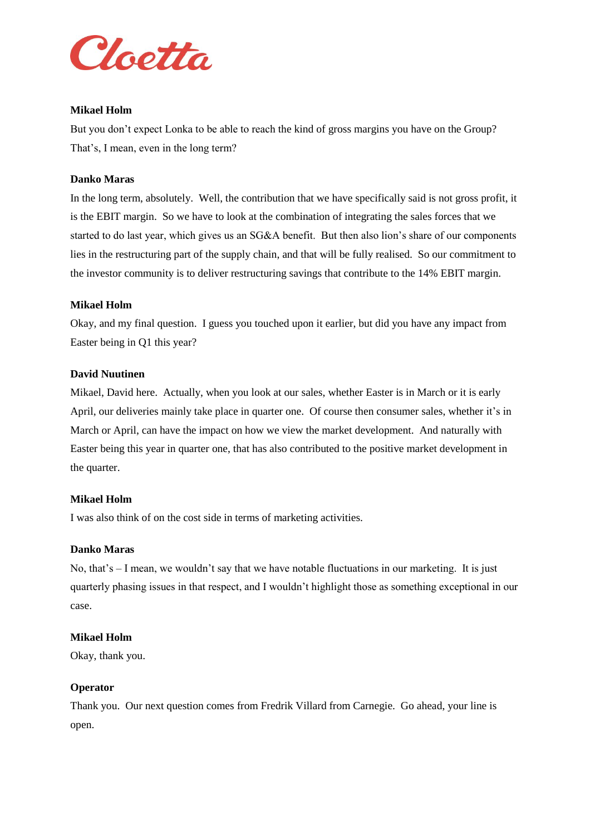

#### **Mikael Holm**

But you don't expect Lonka to be able to reach the kind of gross margins you have on the Group? That's, I mean, even in the long term?

#### **Danko Maras**

In the long term, absolutely. Well, the contribution that we have specifically said is not gross profit, it is the EBIT margin. So we have to look at the combination of integrating the sales forces that we started to do last year, which gives us an SG&A benefit. But then also lion's share of our components lies in the restructuring part of the supply chain, and that will be fully realised. So our commitment to the investor community is to deliver restructuring savings that contribute to the 14% EBIT margin.

#### **Mikael Holm**

Okay, and my final question. I guess you touched upon it earlier, but did you have any impact from Easter being in Q1 this year?

#### **David Nuutinen**

Mikael, David here. Actually, when you look at our sales, whether Easter is in March or it is early April, our deliveries mainly take place in quarter one. Of course then consumer sales, whether it's in March or April, can have the impact on how we view the market development. And naturally with Easter being this year in quarter one, that has also contributed to the positive market development in the quarter.

#### **Mikael Holm**

I was also think of on the cost side in terms of marketing activities.

#### **Danko Maras**

No, that's – I mean, we wouldn't say that we have notable fluctuations in our marketing. It is just quarterly phasing issues in that respect, and I wouldn't highlight those as something exceptional in our case.

#### **Mikael Holm**

Okay, thank you.

#### **Operator**

Thank you. Our next question comes from Fredrik Villard from Carnegie. Go ahead, your line is open.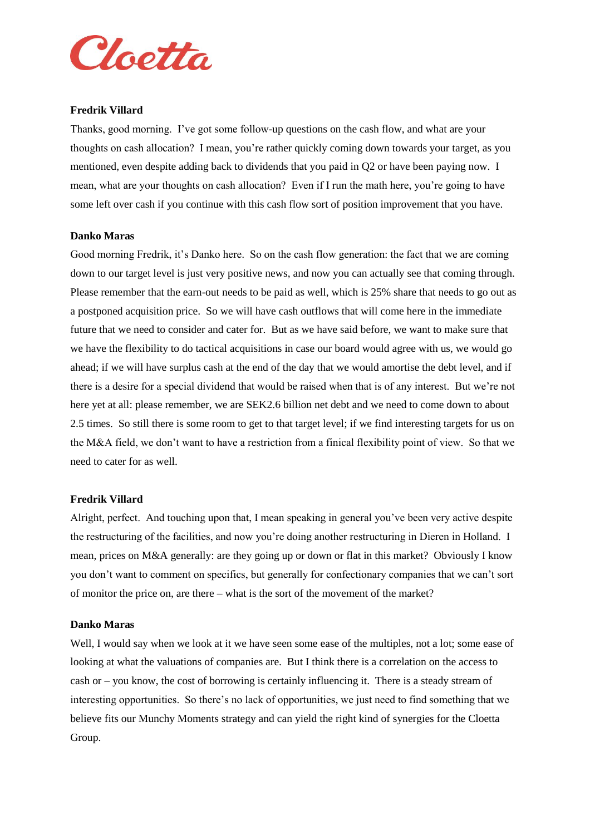

#### **Fredrik Villard**

Thanks, good morning. I've got some follow-up questions on the cash flow, and what are your thoughts on cash allocation? I mean, you're rather quickly coming down towards your target, as you mentioned, even despite adding back to dividends that you paid in Q2 or have been paying now. I mean, what are your thoughts on cash allocation? Even if I run the math here, you're going to have some left over cash if you continue with this cash flow sort of position improvement that you have.

#### **Danko Maras**

Good morning Fredrik, it's Danko here. So on the cash flow generation: the fact that we are coming down to our target level is just very positive news, and now you can actually see that coming through. Please remember that the earn-out needs to be paid as well, which is 25% share that needs to go out as a postponed acquisition price. So we will have cash outflows that will come here in the immediate future that we need to consider and cater for. But as we have said before, we want to make sure that we have the flexibility to do tactical acquisitions in case our board would agree with us, we would go ahead; if we will have surplus cash at the end of the day that we would amortise the debt level, and if there is a desire for a special dividend that would be raised when that is of any interest. But we're not here yet at all: please remember, we are SEK2.6 billion net debt and we need to come down to about 2.5 times. So still there is some room to get to that target level; if we find interesting targets for us on the M&A field, we don't want to have a restriction from a finical flexibility point of view. So that we need to cater for as well.

#### **Fredrik Villard**

Alright, perfect. And touching upon that, I mean speaking in general you've been very active despite the restructuring of the facilities, and now you're doing another restructuring in Dieren in Holland. I mean, prices on M&A generally: are they going up or down or flat in this market? Obviously I know you don't want to comment on specifics, but generally for confectionary companies that we can't sort of monitor the price on, are there – what is the sort of the movement of the market?

#### **Danko Maras**

Well, I would say when we look at it we have seen some ease of the multiples, not a lot; some ease of looking at what the valuations of companies are. But I think there is a correlation on the access to cash or – you know, the cost of borrowing is certainly influencing it. There is a steady stream of interesting opportunities. So there's no lack of opportunities, we just need to find something that we believe fits our Munchy Moments strategy and can yield the right kind of synergies for the Cloetta Group.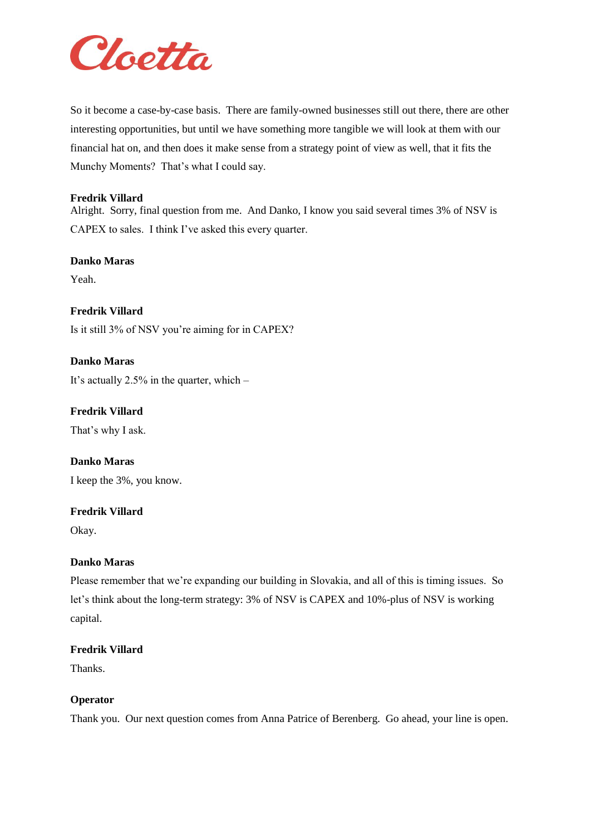

So it become a case-by-case basis. There are family-owned businesses still out there, there are other interesting opportunities, but until we have something more tangible we will look at them with our financial hat on, and then does it make sense from a strategy point of view as well, that it fits the Munchy Moments? That's what I could say.

#### **Fredrik Villard**

Alright. Sorry, final question from me. And Danko, I know you said several times 3% of NSV is CAPEX to sales. I think I've asked this every quarter.

#### **Danko Maras**

Yeah.

**Fredrik Villard** Is it still 3% of NSV you're aiming for in CAPEX?

**Danko Maras**

It's actually 2.5% in the quarter, which –

**Fredrik Villard** That's why I ask.

**Danko Maras** I keep the 3%, you know.

#### **Fredrik Villard**

Okay.

#### **Danko Maras**

Please remember that we're expanding our building in Slovakia, and all of this is timing issues. So let's think about the long-term strategy: 3% of NSV is CAPEX and 10%-plus of NSV is working capital.

#### **Fredrik Villard**

Thanks.

#### **Operator**

Thank you. Our next question comes from Anna Patrice of Berenberg. Go ahead, your line is open.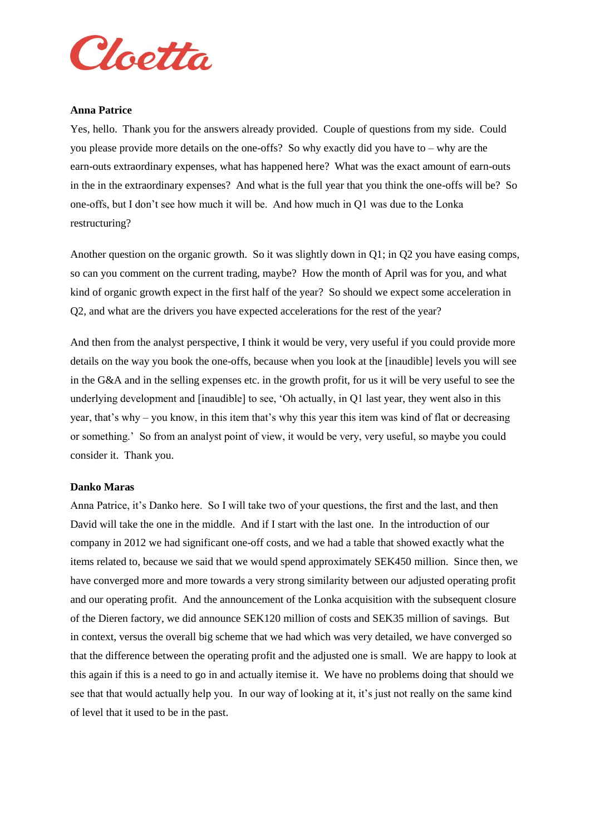

#### **Anna Patrice**

Yes, hello. Thank you for the answers already provided. Couple of questions from my side. Could you please provide more details on the one-offs? So why exactly did you have to – why are the earn-outs extraordinary expenses, what has happened here? What was the exact amount of earn-outs in the in the extraordinary expenses? And what is the full year that you think the one-offs will be? So one-offs, but I don't see how much it will be. And how much in Q1 was due to the Lonka restructuring?

Another question on the organic growth. So it was slightly down in Q1; in Q2 you have easing comps, so can you comment on the current trading, maybe? How the month of April was for you, and what kind of organic growth expect in the first half of the year? So should we expect some acceleration in Q2, and what are the drivers you have expected accelerations for the rest of the year?

And then from the analyst perspective, I think it would be very, very useful if you could provide more details on the way you book the one-offs, because when you look at the [inaudible] levels you will see in the G&A and in the selling expenses etc. in the growth profit, for us it will be very useful to see the underlying development and [inaudible] to see, 'Oh actually, in Q1 last year, they went also in this year, that's why – you know, in this item that's why this year this item was kind of flat or decreasing or something.' So from an analyst point of view, it would be very, very useful, so maybe you could consider it. Thank you.

#### **Danko Maras**

Anna Patrice, it's Danko here. So I will take two of your questions, the first and the last, and then David will take the one in the middle. And if I start with the last one. In the introduction of our company in 2012 we had significant one-off costs, and we had a table that showed exactly what the items related to, because we said that we would spend approximately SEK450 million. Since then, we have converged more and more towards a very strong similarity between our adjusted operating profit and our operating profit. And the announcement of the Lonka acquisition with the subsequent closure of the Dieren factory, we did announce SEK120 million of costs and SEK35 million of savings. But in context, versus the overall big scheme that we had which was very detailed, we have converged so that the difference between the operating profit and the adjusted one is small. We are happy to look at this again if this is a need to go in and actually itemise it. We have no problems doing that should we see that that would actually help you. In our way of looking at it, it's just not really on the same kind of level that it used to be in the past.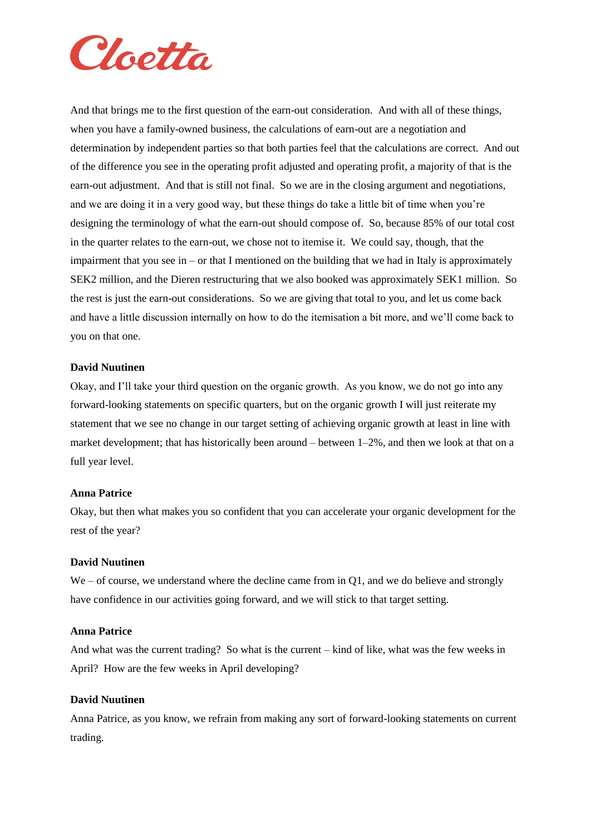

And that brings me to the first question of the earn-out consideration. And with all of these things, when you have a family-owned business, the calculations of earn-out are a negotiation and determination by independent parties so that both parties feel that the calculations are correct. And out of the difference you see in the operating profit adjusted and operating profit, a majority of that is the earn-out adjustment. And that is still not final. So we are in the closing argument and negotiations, and we are doing it in a very good way, but these things do take a little bit of time when you're designing the terminology of what the earn-out should compose of. So, because 85% of our total cost in the quarter relates to the earn-out, we chose not to itemise it. We could say, though, that the impairment that you see in – or that I mentioned on the building that we had in Italy is approximately SEK2 million, and the Dieren restructuring that we also booked was approximately SEK1 million. So the rest is just the earn-out considerations. So we are giving that total to you, and let us come back and have a little discussion internally on how to do the itemisation a bit more, and we'll come back to you on that one.

#### **David Nuutinen**

Okay, and I'll take your third question on the organic growth. As you know, we do not go into any forward-looking statements on specific quarters, but on the organic growth I will just reiterate my statement that we see no change in our target setting of achieving organic growth at least in line with market development; that has historically been around – between 1–2%, and then we look at that on a full year level.

#### **Anna Patrice**

Okay, but then what makes you so confident that you can accelerate your organic development for the rest of the year?

#### **David Nuutinen**

 $We - of course, we understand where the decline came from in Q1, and we do believe and strongly$ have confidence in our activities going forward, and we will stick to that target setting.

#### **Anna Patrice**

And what was the current trading? So what is the current – kind of like, what was the few weeks in April? How are the few weeks in April developing?

#### **David Nuutinen**

Anna Patrice, as you know, we refrain from making any sort of forward-looking statements on current trading.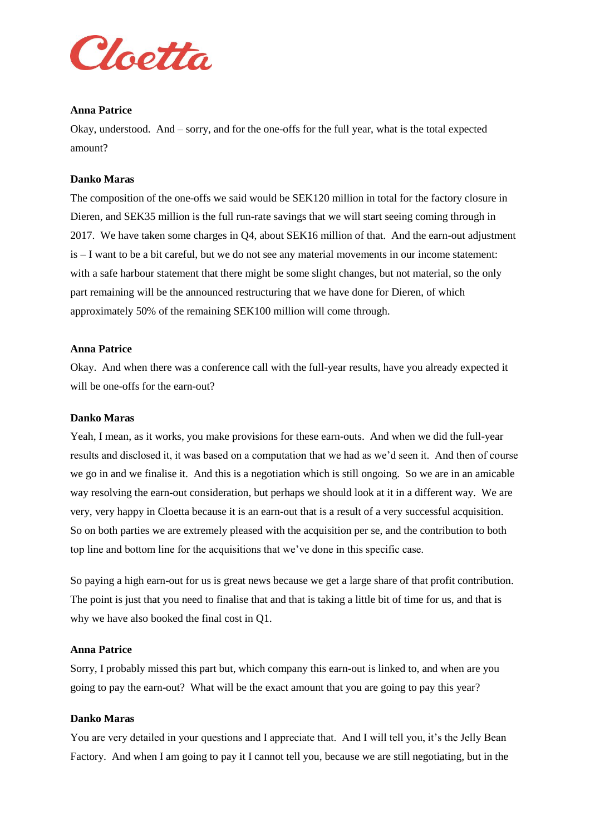

#### **Anna Patrice**

Okay, understood. And – sorry, and for the one-offs for the full year, what is the total expected amount?

#### **Danko Maras**

The composition of the one-offs we said would be SEK120 million in total for the factory closure in Dieren, and SEK35 million is the full run-rate savings that we will start seeing coming through in 2017. We have taken some charges in Q4, about SEK16 million of that. And the earn-out adjustment is – I want to be a bit careful, but we do not see any material movements in our income statement: with a safe harbour statement that there might be some slight changes, but not material, so the only part remaining will be the announced restructuring that we have done for Dieren, of which approximately 50% of the remaining SEK100 million will come through.

#### **Anna Patrice**

Okay. And when there was a conference call with the full-year results, have you already expected it will be one-offs for the earn-out?

#### **Danko Maras**

Yeah, I mean, as it works, you make provisions for these earn-outs. And when we did the full-year results and disclosed it, it was based on a computation that we had as we'd seen it. And then of course we go in and we finalise it. And this is a negotiation which is still ongoing. So we are in an amicable way resolving the earn-out consideration, but perhaps we should look at it in a different way. We are very, very happy in Cloetta because it is an earn-out that is a result of a very successful acquisition. So on both parties we are extremely pleased with the acquisition per se, and the contribution to both top line and bottom line for the acquisitions that we've done in this specific case.

So paying a high earn-out for us is great news because we get a large share of that profit contribution. The point is just that you need to finalise that and that is taking a little bit of time for us, and that is why we have also booked the final cost in Q1.

#### **Anna Patrice**

Sorry, I probably missed this part but, which company this earn-out is linked to, and when are you going to pay the earn-out? What will be the exact amount that you are going to pay this year?

#### **Danko Maras**

You are very detailed in your questions and I appreciate that. And I will tell you, it's the Jelly Bean Factory. And when I am going to pay it I cannot tell you, because we are still negotiating, but in the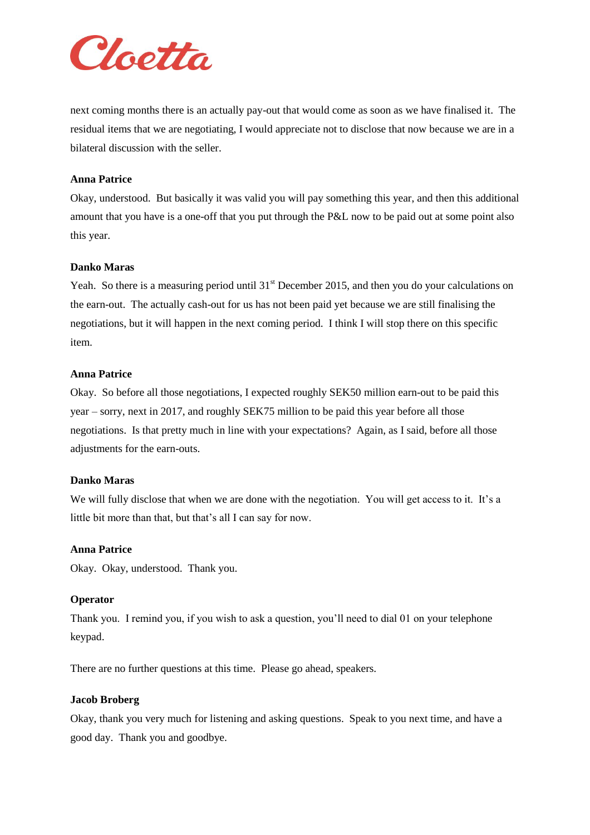

next coming months there is an actually pay-out that would come as soon as we have finalised it. The residual items that we are negotiating, I would appreciate not to disclose that now because we are in a bilateral discussion with the seller.

#### **Anna Patrice**

Okay, understood. But basically it was valid you will pay something this year, and then this additional amount that you have is a one-off that you put through the P&L now to be paid out at some point also this year.

#### **Danko Maras**

Yeah. So there is a measuring period until  $31<sup>st</sup>$  December 2015, and then you do your calculations on the earn-out. The actually cash-out for us has not been paid yet because we are still finalising the negotiations, but it will happen in the next coming period. I think I will stop there on this specific item.

#### **Anna Patrice**

Okay. So before all those negotiations, I expected roughly SEK50 million earn-out to be paid this year – sorry, next in 2017, and roughly SEK75 million to be paid this year before all those negotiations. Is that pretty much in line with your expectations? Again, as I said, before all those adjustments for the earn-outs.

#### **Danko Maras**

We will fully disclose that when we are done with the negotiation. You will get access to it. It's a little bit more than that, but that's all I can say for now.

#### **Anna Patrice**

Okay. Okay, understood. Thank you.

#### **Operator**

Thank you. I remind you, if you wish to ask a question, you'll need to dial 01 on your telephone keypad.

There are no further questions at this time. Please go ahead, speakers.

#### **Jacob Broberg**

Okay, thank you very much for listening and asking questions. Speak to you next time, and have a good day. Thank you and goodbye.